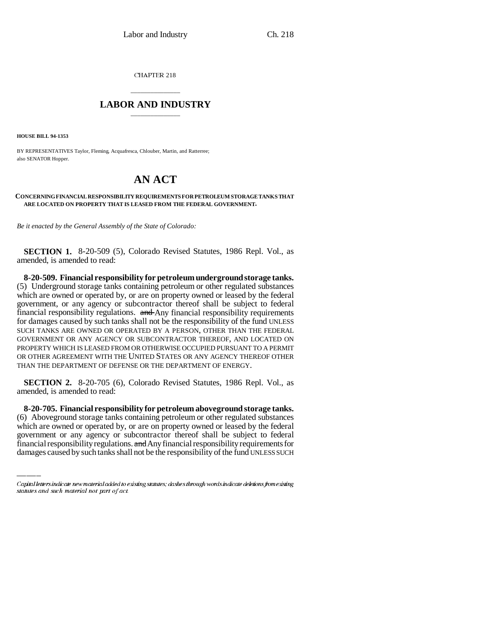CHAPTER 218

## \_\_\_\_\_\_\_\_\_\_\_\_\_\_\_ **LABOR AND INDUSTRY** \_\_\_\_\_\_\_\_\_\_\_\_\_\_\_

**HOUSE BILL 94-1353**

BY REPRESENTATIVES Taylor, Fleming, Acquafresca, Chlouber, Martin, and Ratterree; also SENATOR Hopper.

## **AN ACT**

## **CONCERNING FINANCIAL RESPONSIBILITY REQUIREMENTS FOR PETROLEUM STORAGE TANKS THAT ARE LOCATED ON PROPERTY THAT IS LEASED FROM THE FEDERAL GOVERNMENT.**

*Be it enacted by the General Assembly of the State of Colorado:*

**SECTION 1.** 8-20-509 (5), Colorado Revised Statutes, 1986 Repl. Vol., as amended, is amended to read:

**8-20-509. Financial responsibility for petroleum underground storage tanks.** (5) Underground storage tanks containing petroleum or other regulated substances which are owned or operated by, or are on property owned or leased by the federal government, or any agency or subcontractor thereof shall be subject to federal financial responsibility regulations. and Any financial responsibility requirements for damages caused by such tanks shall not be the responsibility of the fund UNLESS SUCH TANKS ARE OWNED OR OPERATED BY A PERSON, OTHER THAN THE FEDERAL GOVERNMENT OR ANY AGENCY OR SUBCONTRACTOR THEREOF, AND LOCATED ON PROPERTY WHICH IS LEASED FROM OR OTHERWISE OCCUPIED PURSUANT TO A PERMIT OR OTHER AGREEMENT WITH THE UNITED STATES OR ANY AGENCY THEREOF OTHER THAN THE DEPARTMENT OF DEFENSE OR THE DEPARTMENT OF ENERGY.

**SECTION 2.** 8-20-705 (6), Colorado Revised Statutes, 1986 Repl. Vol., as amended, is amended to read:

(6) Aboveground storage tanks containing petroleum or other regulated substances **8-20-705. Financial responsibility for petroleum aboveground storage tanks.** which are owned or operated by, or are on property owned or leased by the federal government or any agency or subcontractor thereof shall be subject to federal financial responsibility regulations. and Any financial responsibility requirements for damages caused by such tanks shall not be the responsibility of the fund UNLESS SUCH

Capital letters indicate new material added to existing statutes; dashes through words indicate deletions from existing statutes and such material not part of act.